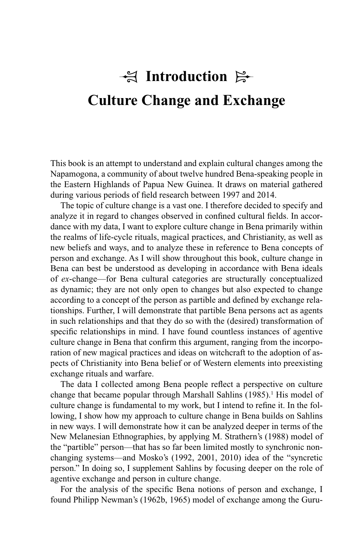# - **Introduction Culture Change and Exchange**

This book is an attempt to understand and explain cultural changes among the Napamogona, a community of about twelve hundred Bena-speaking people in the Eastern Highlands of Papua New Guinea. It draws on material gathered during various periods of field research between 1997 and 2014.

The topic of culture change is a vast one. I therefore decided to specify and analyze it in regard to changes observed in confined cultural fields. In accordance with my data, I want to explore culture change in Bena primarily within the realms of life-cycle rituals, magical practices, and Christianity, as well as new beliefs and ways, and to analyze these in reference to Bena concepts of person and exchange. As I will show throughout this book, culture change in Bena can best be understood as developing in accordance with Bena ideals of *ex*-change—for Bena cultural categories are structurally conceptualized as dynamic; they are not only open to changes but also expected to change according to a concept of the person as partible and defined by exchange relationships. Further, I will demonstrate that partible Bena persons act as agents in such relationships and that they do so with the (desired) transformation of specific relationships in mind. I have found countless instances of agentive culture change in Bena that confirm this argument, ranging from the incorporation of new magical practices and ideas on witchcraft to the adoption of aspects of Christianity into Bena belief or of Western elements into preexisting exchange rituals and warfare.

The data I collected among Bena people reflect a perspective on culture change that became popular through Marshall Sahlins (1985).<sup>1</sup> His model of culture change is fundamental to my work, but I intend to refine it. In the following, I show how my approach to culture change in Bena builds on Sahlins in new ways. I will demonstrate how it can be analyzed deeper in terms of the New Melanesian Ethnographies, by applying M. Strathern's (1988) model of the "partible" person—that has so far been limited mostly to synchronic nonchanging systems—and Mosko's (1992, 2001, 2010) idea of the "syncretic person." In doing so, I supplement Sahlins by focusing deeper on the role of agentive exchange and person in culture change.

For the analysis of the specific Bena notions of person and exchange, I found Philipp Newman's (1962b, 1965) model of exchange among the Guru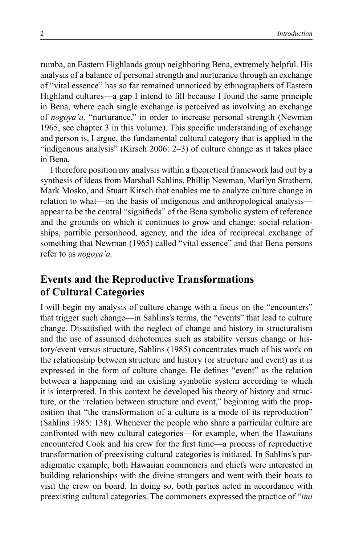rumba, an Eastern Highlands group neighboring Bena, extremely helpful. His analysis of a balance of personal strength and nurturance through an exchange of "vital essence" has so far remained unnoticed by ethnographers of Eastern Highland cultures—a gap I intend to fill because I found the same principle in Bena, where each single exchange is perceived as involving an exchange of *nogoya'a,* "nurturance," in order to increase personal strength (Newman 1965, see chapter 3 in this volume). This specifi c understanding of exchange and person is, I argue, the fundamental cultural category that is applied in the "indigenous analysis" (Kirsch 2006: 2–3) of culture change as it takes place in Bena.

I therefore position my analysis within a theoretical framework laid out by a synthesis of ideas from Marshall Sahlins, Phillip Newman, Marilyn Strathern, Mark Mosko, and Stuart Kirsch that enables me to analyze culture change in relation to what—on the basis of indigenous and anthropological analysis appear to be the central "signifieds" of the Bena symbolic system of reference and the grounds on which it continues to grow and change: social relationships, partible personhood, agency, and the idea of reciprocal exchange of something that Newman (1965) called "vital essence" and that Bena persons refer to as *nogoya'a.*

# **Events and the Reproductive Transformations of Cultural Categories**

I will begin my analysis of culture change with a focus on the "encounters" that trigger such change—in Sahlins's terms, the "events" that lead to culture change. Dissatisfied with the neglect of change and history in structuralism and the use of assumed dichotomies such as stability versus change or history/event versus structure, Sahlins (1985) concentrates much of his work on the relationship between structure and history (or structure and event) as it is expressed in the form of culture change. He defines "event" as the relation between a happening and an existing symbolic system according to which it is interpreted. In this context he developed his theory of history and structure, or the "relation between structure and event," beginning with the proposition that "the transformation of a culture is a mode of its reproduction" (Sahlins 1985: 138). Whenever the people who share a particular culture are confronted with new cultural categories—for example, when the Hawaiians encountered Cook and his crew for the first time—a process of reproductive transformation of preexisting cultural categories is initiated. In Sahlins's paradigmatic example, both Hawaiian commoners and chiefs were interested in building relationships with the divine strangers and went with their boats to visit the crew on board. In doing so, both parties acted in accordance with preexisting cultural categories. The commoners expressed the practice of "*imi*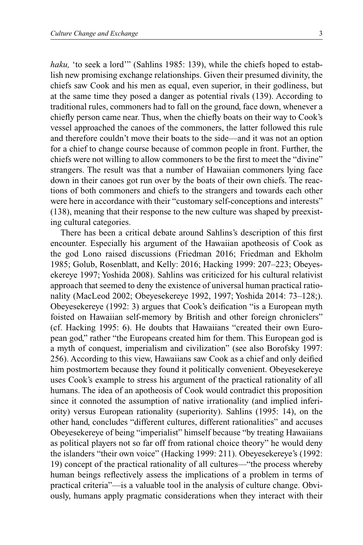*haku,* 'to seek a lord'" (Sahlins 1985: 139), while the chiefs hoped to establish new promising exchange relationships. Given their presumed divinity, the chiefs saw Cook and his men as equal, even superior, in their godliness, but at the same time they posed a danger as potential rivals (139). According to traditional rules, commoners had to fall on the ground, face down, whenever a chiefly person came near. Thus, when the chiefly boats on their way to Cook's vessel approached the canoes of the commoners, the latter followed this rule and therefore couldn't move their boats to the side—and it was not an option for a chief to change course because of common people in front. Further, the chiefs were not willing to allow commoners to be the first to meet the "divine" strangers. The result was that a number of Hawaiian commoners lying face down in their canoes got run over by the boats of their own chiefs. The reactions of both commoners and chiefs to the strangers and towards each other were here in accordance with their "customary self-conceptions and interests" (138), meaning that their response to the new culture was shaped by preexisting cultural categories.

There has been a critical debate around Sahlins's description of this first encounter. Especially his argument of the Hawaiian apotheosis of Cook as the god Lono raised discussions (Friedman 2016; Friedman and Ekholm 1985; Golub, Rosenblatt, and Kelly: 2016; Hacking 1999: 207–223; Obeyesekereye 1997; Yoshida 2008). Sahlins was criticized for his cultural relativist approach that seemed to deny the existence of universal human practical rationality (MacLeod 2002; Obeyesekereye 1992, 1997; Yoshida 2014: 73–128;). Obeyesekereye (1992: 3) argues that Cook's deification "is a European myth foisted on Hawaiian self-memory by British and other foreign chroniclers" (cf. Hacking 1995: 6). He doubts that Hawaiians "created their own European god," rather "the Europeans created him for them. This European god is a myth of conquest, imperialism and civilization" (see also Borofsky 1997: 256). According to this view, Hawaiians saw Cook as a chief and only deified him postmortem because they found it politically convenient. Obeyesekereye uses Cook's example to stress his argument of the practical rationality of all humans. The idea of an apotheosis of Cook would contradict this proposition since it connoted the assumption of native irrationality (and implied inferiority) versus European rationality (superiority). Sahlins (1995: 14), on the other hand, concludes "different cultures, different rationalities" and accuses Obeyesekereye of being "imperialist" himself because "by treating Hawaiians as political players not so far off from rational choice theory" he would deny the islanders "their own voice" (Hacking 1999: 211). Obeyesekereye's (1992: 19) concept of the practical rationality of all cultures—"the process whereby human beings reflectively assess the implications of a problem in terms of practical criteria"—is a valuable tool in the analysis of culture change. Obviously, humans apply pragmatic considerations when they interact with their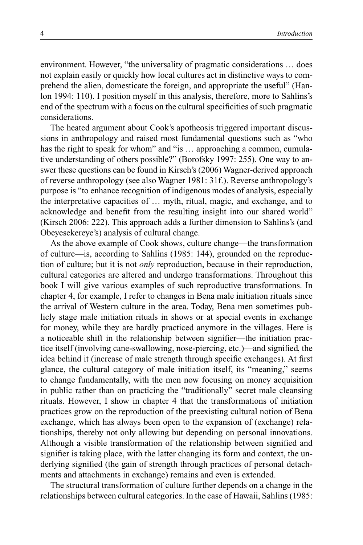environment. However, "the universality of pragmatic considerations … does not explain easily or quickly how local cultures act in distinctive ways to comprehend the alien, domesticate the foreign, and appropriate the useful" (Hanlon 1994: 110). I position myself in this analysis, therefore, more to Sahlins's end of the spectrum with a focus on the cultural specificities of such pragmatic considerations.

The heated argument about Cook's apotheosis triggered important discussions in anthropology and raised most fundamental questions such as "who has the right to speak for whom" and "is ... approaching a common, cumulative understanding of others possible?" (Borofsky 1997: 255). One way to answer these questions can be found in Kirsch's (2006) Wagner-derived approach of reverse anthropology (see also Wagner 1981: 31f.). Reverse anthropology's purpose is "to enhance recognition of indigenous modes of analysis, especially the interpretative capacities of … myth, ritual, magic, and exchange, and to acknowledge and benefit from the resulting insight into our shared world" (Kirsch 2006: 222). This approach adds a further dimension to Sahlins's (and Obeyesekereye's) analysis of cultural change.

As the above example of Cook shows, culture change—the transformation of culture—is, according to Sahlins (1985: 144), grounded on the reproduction of culture; but it is not *only* reproduction, because in their reproduction, cultural categories are altered and undergo transformations. Throughout this book I will give various examples of such reproductive transformations. In chapter 4, for example, I refer to changes in Bena male initiation rituals since the arrival of Western culture in the area. Today, Bena men sometimes publicly stage male initiation rituals in shows or at special events in exchange for money, while they are hardly practiced anymore in the villages. Here is a noticeable shift in the relationship between signifier—the initiation practice itself (involving cane-swallowing, nose-piercing, etc.)—and signified, the idea behind it (increase of male strength through specific exchanges). At first glance, the cultural category of male initiation itself, its "meaning," seems to change fundamentally, with the men now focusing on money acquisition in public rather than on practicing the "traditionally" secret male cleansing rituals. However, I show in chapter 4 that the transformations of initiation practices grow on the reproduction of the preexisting cultural notion of Bena exchange, which has always been open to the expansion of (exchange) relationships, thereby not only allowing but depending on personal innovations. Although a visible transformation of the relationship between signified and signifier is taking place, with the latter changing its form and context, the underlying signified (the gain of strength through practices of personal detachments and attachments in exchange) remains and even is extended.

The structural transformation of culture further depends on a change in the relationships between cultural categories. In the case of Hawaii, Sahlins (1985: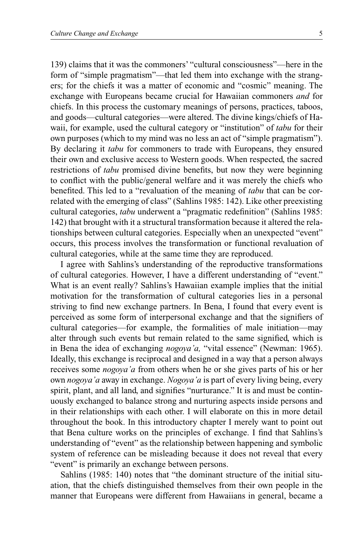139) claims that it was the commoners' "cultural consciousness"—here in the form of "simple pragmatism"—that led them into exchange with the strangers; for the chiefs it was a matter of economic and "cosmic" meaning. The exchange with Europeans became crucial for Hawaiian commoners *and* for chiefs. In this process the customary meanings of persons, practices, taboos, and goods—cultural categories—were altered. The divine kings/chiefs of Hawaii, for example, used the cultural category or "institution" of *tabu* for their own purposes (which to my mind was no less an act of "simple pragmatism"). By declaring it *tabu* for commoners to trade with Europeans, they ensured their own and exclusive access to Western goods. When respected, the sacred restrictions of *tabu* promised divine benefits, but now they were beginning to conflict with the public/general welfare and it was merely the chiefs who benefited. This led to a "revaluation of the meaning of *tabu* that can be correlated with the emerging of class" (Sahlins 1985: 142). Like other preexisting cultural categories, *tabu* underwent a "pragmatic redefinition" (Sahlins 1985: 142) that brought with it a structural transformation because it altered the relationships between cultural categories. Especially when an unexpected "event" occurs, this process involves the transformation or functional revaluation of cultural categories, while at the same time they are reproduced.

I agree with Sahlins's understanding of the reproductive transformations of cultural categories. However, I have a different understanding of "event." What is an event really? Sahlins's Hawaiian example implies that the initial motivation for the transformation of cultural categories lies in a personal striving to find new exchange partners. In Bena, I found that every event is perceived as some form of interpersonal exchange and that the signifiers of cultural categories—for example, the formalities of male initiation—may alter through such events but remain related to the same signified, which is in Bena the idea of exchanging *nogoya'a,* "vital essence" (Newman: 1965). Ideally, this exchange is reciprocal and designed in a way that a person always receives some *nogoya'a* from others when he or she gives parts of his or her own *nogoya'a* away in exchange. *Nogoya'a* is part of every living being, every spirit, plant, and all land, and signifies "nurturance." It is and must be continuously exchanged to balance strong and nurturing aspects inside persons and in their relationships with each other. I will elaborate on this in more detail throughout the book. In this introductory chapter I merely want to point out that Bena culture works on the principles of exchange. I find that Sahlins's understanding of "event" as the relationship between happening and symbolic system of reference can be misleading because it does not reveal that every "event" is primarily an exchange between persons.

Sahlins (1985: 140) notes that "the dominant structure of the initial situation, that the chiefs distinguished themselves from their own people in the manner that Europeans were different from Hawaiians in general, became a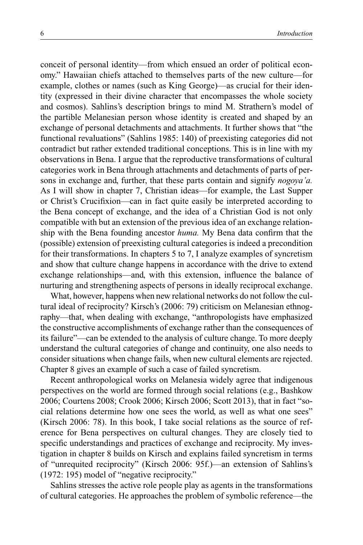conceit of personal identity—from which ensued an order of political economy." Hawaiian chiefs attached to themselves parts of the new culture—for example, clothes or names (such as King George)—as crucial for their identity (expressed in their divine character that encompasses the whole society and cosmos). Sahlins's description brings to mind M. Strathern's model of the partible Melanesian person whose identity is created and shaped by an exchange of personal detachments and attachments. It further shows that "the functional revaluations" (Sahlins 1985: 140) of preexisting categories did not contradict but rather extended traditional conceptions. This is in line with my observations in Bena. I argue that the reproductive transformations of cultural categories work in Bena through attachments and detachments of parts of persons in exchange and, further, that these parts contain and signify *nogoya'a.* As I will show in chapter 7, Christian ideas—for example, the Last Supper or Christ's Crucifixion—can in fact quite easily be interpreted according to the Bena concept of exchange, and the idea of a Christian God is not only compatible with but an extension of the previous idea of an exchange relationship with the Bena founding ancestor *huma*. My Bena data confirm that the (possible) extension of preexisting cultural categories is indeed a precondition for their transformations. In chapters 5 to 7, I analyze examples of syncretism and show that culture change happens in accordance with the drive to extend exchange relationships—and, with this extension, influence the balance of nurturing and strengthening aspects of persons in ideally reciprocal exchange.

What, however, happens when new relational networks do not follow the cultural ideal of reciprocity? Kirsch's (2006: 79) criticism on Melanesian ethnography—that, when dealing with exchange, "anthropologists have emphasized the constructive accomplishments of exchange rather than the consequences of its failure"—can be extended to the analysis of culture change. To more deeply understand the cultural categories of change and continuity, one also needs to consider situations when change fails, when new cultural elements are rejected. Chapter 8 gives an example of such a case of failed syncretism.

Recent anthropological works on Melanesia widely agree that indigenous perspectives on the world are formed through social relations (e.g., Bashkow 2006; Courtens 2008; Crook 2006; Kirsch 2006; Scott 2013), that in fact "social relations determine how one sees the world, as well as what one sees" (Kirsch 2006: 78). In this book, I take social relations as the source of reference for Bena perspectives on cultural changes. They are closely tied to specific understandings and practices of exchange and reciprocity. My investigation in chapter 8 builds on Kirsch and explains failed syncretism in terms of "unrequited reciprocity" (Kirsch 2006: 95f.)—an extension of Sahlins's (1972: 195) model of "negative reciprocity."

Sahlins stresses the active role people play as agents in the transformations of cultural categories. He approaches the problem of symbolic reference—the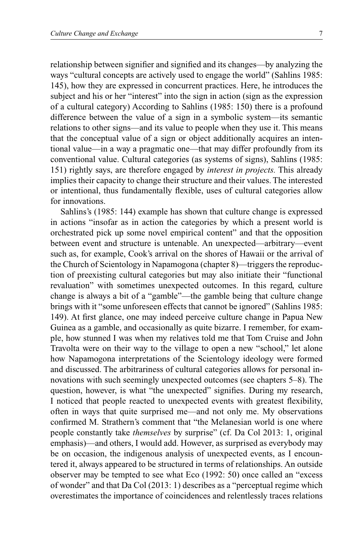relationship between signifier and signified and its changes—by analyzing the ways "cultural concepts are actively used to engage the world" (Sahlins 1985: 145), how they are expressed in concurrent practices. Here, he introduces the subject and his or her "interest" into the sign in action (sign as the expression of a cultural category) According to Sahlins (1985: 150) there is a profound difference between the value of a sign in a symbolic system—its semantic relations to other signs—and its value to people when they use it. This means that the conceptual value of a sign or object additionally acquires an intentional value—in a way a pragmatic one—that may differ profoundly from its conventional value. Cultural categories (as systems of signs), Sahlins (1985: 151) rightly says, are therefore engaged by *interest in projects.* This already implies their capacity to change their structure and their values. The interested or intentional, thus fundamentally flexible, uses of cultural categories allow for innovations.

Sahlins's (1985: 144) example has shown that culture change is expressed in actions "insofar as in action the categories by which a present world is orchestrated pick up some novel empirical content" and that the opposition between event and structure is untenable. An unexpected—arbitrary—event such as, for example, Cook's arrival on the shores of Hawaii or the arrival of the Church of Scientology in Napamogona (chapter 8)—triggers the reproduction of preexisting cultural categories but may also initiate their "functional revaluation" with sometimes unexpected outcomes. In this regard, culture change is always a bit of a "gamble"—the gamble being that culture change brings with it "some unforeseen effects that cannot be ignored" (Sahlins 1985: 149). At first glance, one may indeed perceive culture change in Papua New Guinea as a gamble, and occasionally as quite bizarre. I remember, for example, how stunned I was when my relatives told me that Tom Cruise and John Travolta were on their way to the village to open a new "school," let alone how Napamogona interpretations of the Scientology ideology were formed and discussed. The arbitrariness of cultural categories allows for personal innovations with such seemingly unexpected outcomes (see chapters 5–8). The question, however, is what "the unexpected" signifies. During my research, I noticed that people reacted to unexpected events with greatest flexibility, often in ways that quite surprised me—and not only me. My observations confirmed M. Strathern's comment that "the Melanesian world is one where people constantly take *themselves* by surprise" (cf. Da Col 2013: 1, original emphasis)—and others, I would add. However, as surprised as everybody may be on occasion, the indigenous analysis of unexpected events, as I encountered it, always appeared to be structured in terms of relationships. An outside observer may be tempted to see what Eco (1992: 50) once called an "excess of wonder" and that Da Col (2013: 1) describes as a "perceptual regime which overestimates the importance of coincidences and relentlessly traces relations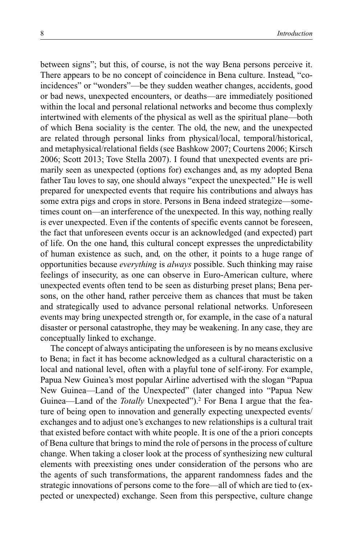between signs"; but this, of course, is not the way Bena persons perceive it. There appears to be no concept of coincidence in Bena culture. Instead, "coincidences" or "wonders"—be they sudden weather changes, accidents, good or bad news, unexpected encounters, or deaths—are immediately positioned within the local and personal relational networks and become thus complexly intertwined with elements of the physical as well as the spiritual plane—both of which Bena sociality is the center. The old, the new, and the unexpected are related through personal links from physical/local, temporal/historical, and metaphysical/relational fields (see Bashkow 2007; Courtens 2006; Kirsch 2006; Scott 2013; Tove Stella 2007). I found that unexpected events are primarily seen as unexpected (options for) exchanges and, as my adopted Bena father Tau loves to say, one should always "expect the unexpected." He is well prepared for unexpected events that require his contributions and always has some extra pigs and crops in store. Persons in Bena indeed strategize—sometimes count on—an interference of the unexpected. In this way, nothing really is ever unexpected. Even if the contents of specific events cannot be foreseen, the fact that unforeseen events occur is an acknowledged (and expected) part of life. On the one hand, this cultural concept expresses the unpredictability of human existence as such, and, on the other, it points to a huge range of opportunities because *everything* is *always* possible. Such thinking may raise feelings of insecurity, as one can observe in Euro-American culture, where unexpected events often tend to be seen as disturbing preset plans; Bena persons, on the other hand, rather perceive them as chances that must be taken and strategically used to advance personal relational networks. Unforeseen events may bring unexpected strength or, for example, in the case of a natural disaster or personal catastrophe, they may be weakening. In any case, they are conceptually linked to exchange.

The concept of always anticipating the unforeseen is by no means exclusive to Bena; in fact it has become acknowledged as a cultural characteristic on a local and national level, often with a playful tone of self-irony. For example, Papua New Guinea's most popular Airline advertised with the slogan "Papua New Guinea—Land of the Unexpected" (later changed into "Papua New Guinea—Land of the *Totally* Unexpected").<sup>2</sup> For Bena I argue that the feature of being open to innovation and generally expecting unexpected events/ exchanges and to adjust one's exchanges to new relationships is a cultural trait that existed before contact with white people. It is one of the a priori concepts of Bena culture that brings to mind the role of persons in the process of culture change. When taking a closer look at the process of synthesizing new cultural elements with preexisting ones under consideration of the persons who are the agents of such transformations, the apparent randomness fades and the strategic innovations of persons come to the fore—all of which are tied to (expected or unexpected) exchange. Seen from this perspective, culture change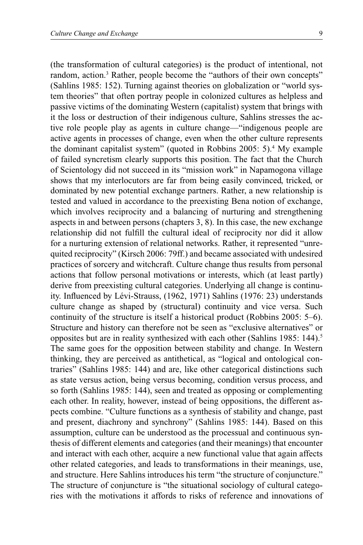(the transformation of cultural categories) is the product of intentional, not random, action.<sup>3</sup> Rather, people become the "authors of their own concepts" (Sahlins 1985: 152). Turning against theories on globalization or "world system theories" that often portray people in colonized cultures as helpless and passive victims of the dominating Western (capitalist) system that brings with it the loss or destruction of their indigenous culture, Sahlins stresses the active role people play as agents in culture change—"indigenous people are active agents in processes of change, even when the other culture represents the dominant capitalist system" (quoted in Robbins 2005: 5).<sup>4</sup> My example of failed syncretism clearly supports this position. The fact that the Church of Scientology did not succeed in its "mission work" in Napamogona village shows that my interlocutors are far from being easily convinced, tricked, or dominated by new potential exchange partners. Rather, a new relationship is tested and valued in accordance to the preexisting Bena notion of exchange, which involves reciprocity and a balancing of nurturing and strengthening aspects in and between persons (chapters 3, 8). In this case, the new exchange relationship did not fulfill the cultural ideal of reciprocity nor did it allow for a nurturing extension of relational networks. Rather, it represented "unrequited reciprocity" (Kirsch 2006: 79ff.) and became associated with undesired practices of sorcery and witchcraft. Culture change thus results from personal actions that follow personal motivations or interests, which (at least partly) derive from preexisting cultural categories. Underlying all change is continuity. Influenced by Lévi-Strauss, (1962, 1971) Sahlins (1976: 23) understands culture change as shaped by (structural) continuity and vice versa. Such continuity of the structure is itself a historical product (Robbins 2005: 5–6). Structure and history can therefore not be seen as "exclusive alternatives" or opposites but are in reality synthesized with each other (Sahlins 1985: 144).<sup>5</sup> The same goes for the opposition between stability and change. In Western thinking, they are perceived as antithetical, as "logical and ontological contraries" (Sahlins 1985: 144) and are, like other categorical distinctions such as state versus action, being versus becoming, condition versus process, and so forth (Sahlins 1985: 144), seen and treated as opposing or complementing each other. In reality, however, instead of being oppositions, the different aspects combine. "Culture functions as a synthesis of stability and change, past and present, diachrony and synchrony" (Sahlins 1985: 144). Based on this assumption, culture can be understood as the processual and continuous synthesis of different elements and categories (and their meanings) that encounter and interact with each other, acquire a new functional value that again affects other related categories, and leads to transformations in their meanings, use, and structure. Here Sahlins introduces his term "the structure of conjuncture." The structure of conjuncture is "the situational sociology of cultural categories with the motivations it affords to risks of reference and innovations of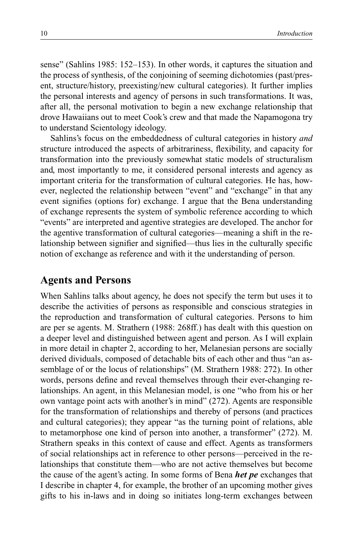sense" (Sahlins 1985: 152–153). In other words, it captures the situation and the process of synthesis, of the conjoining of seeming dichotomies (past/present, structure/history, preexisting/new cultural categories). It further implies the personal interests and agency of persons in such transformations. It was, after all, the personal motivation to begin a new exchange relationship that drove Hawaiians out to meet Cook's crew and that made the Napamogona try to understand Scientology ideology.

Sahlins's focus on the embeddedness of cultural categories in history *and* structure introduced the aspects of arbitrariness, flexibility, and capacity for transformation into the previously somewhat static models of structuralism and, most importantly to me, it considered personal interests and agency as important criteria for the transformation of cultural categories. He has, however, neglected the relationship between "event" and "exchange" in that any event signifies (options for) exchange. I argue that the Bena understanding of exchange represents the system of symbolic reference according to which "events" are interpreted and agentive strategies are developed. The anchor for the agentive transformation of cultural categories—meaning a shift in the relationship between signifier and signified—thus lies in the culturally specific notion of exchange as reference and with it the understanding of person.

#### **Agents and Persons**

When Sahlins talks about agency, he does not specify the term but uses it to describe the activities of persons as responsible and conscious strategies in the reproduction and transformation of cultural categories. Persons to him are per se agents. M. Strathern (1988: 268ff.) has dealt with this question on a deeper level and distinguished between agent and person. As I will explain in more detail in chapter 2, according to her, Melanesian persons are socially derived dividuals, composed of detachable bits of each other and thus "an assemblage of or the locus of relationships" (M. Strathern 1988: 272). In other words, persons define and reveal themselves through their ever-changing relationships. An agent, in this Melanesian model, is one "who from his or her own vantage point acts with another's in mind" (272). Agents are responsible for the transformation of relationships and thereby of persons (and practices and cultural categories); they appear "as the turning point of relations, able to metamorphose one kind of person into another, a transformer" (272). M. Strathern speaks in this context of cause and effect. Agents as transformers of social relationships act in reference to other persons—perceived in the relationships that constitute them—who are not active themselves but become the cause of the agent's acting. In some forms of Bena *het pe* exchanges that I describe in chapter 4, for example, the brother of an upcoming mother gives gifts to his in-laws and in doing so initiates long-term exchanges between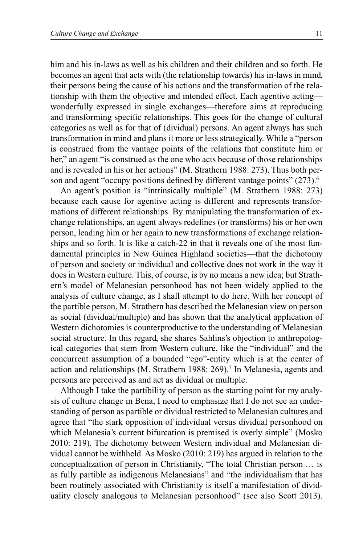him and his in-laws as well as his children and their children and so forth. He becomes an agent that acts with (the relationship towards) his in-laws in mind, their persons being the cause of his actions and the transformation of the relationship with them the objective and intended effect. Each agentive acting wonderfully expressed in single exchanges—therefore aims at reproducing and transforming specific relationships. This goes for the change of cultural categories as well as for that of (dividual) persons. An agent always has such transformation in mind and plans it more or less strategically. While a "person is construed from the vantage points of the relations that constitute him or her," an agent "is construed as the one who acts because of those relationships and is revealed in his or her actions" (M. Strathern 1988: 273). Thus both person and agent "occupy positions defined by different vantage points"  $(273)$ .<sup>6</sup>

An agent's position is "intrinsically multiple" (M. Strathern 1988: 273) because each cause for agentive acting is different and represents transformations of different relationships. By manipulating the transformation of exchange relationships, an agent always redefines (or transforms) his or her own person, leading him or her again to new transformations of exchange relationships and so forth. It is like a catch-22 in that it reveals one of the most fundamental principles in New Guinea Highland societies—that the dichotomy of person and society or individual and collective does not work in the way it does in Western culture. This, of course, is by no means a new idea; but Strathern's model of Melanesian personhood has not been widely applied to the analysis of culture change, as I shall attempt to do here. With her concept of the partible person, M. Strathern has described the Melanesian view on person as social (dividual/multiple) and has shown that the analytical application of Western dichotomies is counterproductive to the understanding of Melanesian social structure. In this regard, she shares Sahlins's objection to anthropological categories that stem from Western culture, like the "individual" and the concurrent assumption of a bounded "ego"-entity which is at the center of action and relationships (M. Strathern 1988: 269).<sup>7</sup> In Melanesia, agents and persons are perceived as and act as dividual or multiple.

Although I take the partibility of person as the starting point for my analysis of culture change in Bena, I need to emphasize that I do not see an understanding of person as partible or dividual restricted to Melanesian cultures and agree that "the stark opposition of individual versus dividual personhood on which Melanesia's current bifurcation is premised is overly simple" (Mosko 2010: 219). The dichotomy between Western individual and Melanesian dividual cannot be withheld. As Mosko (2010: 219) has argued in relation to the conceptualization of person in Christianity, "The total Christian person … is as fully partible as indigenous Melanesians" and "the individualism that has been routinely associated with Christianity is itself a manifestation of dividuality closely analogous to Melanesian personhood" (see also Scott 2013).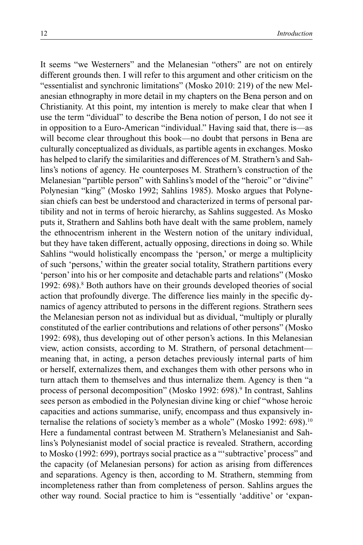It seems "we Westerners" and the Melanesian "others" are not on entirely different grounds then. I will refer to this argument and other criticism on the "essentialist and synchronic limitations" (Mosko 2010: 219) of the new Melanesian ethnography in more detail in my chapters on the Bena person and on Christianity. At this point, my intention is merely to make clear that when I use the term "dividual" to describe the Bena notion of person, I do not see it in opposition to a Euro-American "individual." Having said that, there is—as will become clear throughout this book—no doubt that persons in Bena are culturally conceptualized as dividuals, as partible agents in exchanges. Mosko has helped to clarify the similarities and differences of M. Strathern's and Sahlins's notions of agency. He counterposes M. Strathern's construction of the Melanesian "partible person" with Sahlins's model of the "heroic" or "divine" Polynesian "king" (Mosko 1992; Sahlins 1985). Mosko argues that Polynesian chiefs can best be understood and characterized in terms of personal partibility and not in terms of heroic hierarchy, as Sahlins suggested. As Mosko puts it, Strathern and Sahlins both have dealt with the same problem, namely the ethnocentrism inherent in the Western notion of the unitary individual, but they have taken different, actually opposing, directions in doing so. While Sahlins "would holistically encompass the 'person,' or merge a multiplicity of such 'persons,' within the greater social totality, Strathern partitions every 'person' into his or her composite and detachable parts and relations" (Mosko 1992: 698).<sup>8</sup> Both authors have on their grounds developed theories of social action that profoundly diverge. The difference lies mainly in the specific dynamics of agency attributed to persons in the different regions. Strathern sees the Melanesian person not as individual but as dividual, "multiply or plurally constituted of the earlier contributions and relations of other persons" (Mosko 1992: 698), thus developing out of other person's actions. In this Melanesian view, action consists, according to M. Strathern, of personal detachment meaning that, in acting, a person detaches previously internal parts of him or herself, externalizes them, and exchanges them with other persons who in turn attach them to themselves and thus internalize them. Agency is then "a process of personal decomposition" (Mosko 1992: 698).<sup>9</sup> In contrast, Sahlins sees person as embodied in the Polynesian divine king or chief "whose heroic capacities and actions summarise, unify, encompass and thus expansively internalise the relations of society's member as a whole" (Mosko 1992: 698).10 Here a fundamental contrast between M. Strathern's Melanesianist and Sahlins's Polynesianist model of social practice is revealed. Strathern, according to Mosko (1992: 699), portrays social practice as a "'subtractive' process" and the capacity (of Melanesian persons) for action as arising from differences and separations. Agency is then, according to M. Strathern, stemming from incompleteness rather than from completeness of person. Sahlins argues the other way round. Social practice to him is "essentially 'additive' or 'expan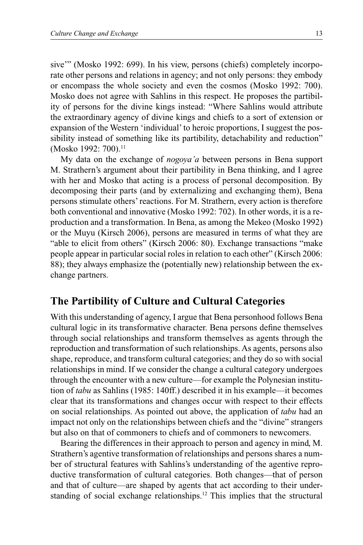sive'" (Mosko 1992: 699). In his view, persons (chiefs) completely incorporate other persons and relations in agency; and not only persons: they embody or encompass the whole society and even the cosmos (Mosko 1992: 700). Mosko does not agree with Sahlins in this respect. He proposes the partibility of persons for the divine kings instead: "Where Sahlins would attribute the extraordinary agency of divine kings and chiefs to a sort of extension or expansion of the Western 'individual' to heroic proportions, I suggest the possibility instead of something like its partibility, detachability and reduction" (Mosko 1992: 700).<sup>11</sup>

My data on the exchange of *nogoya'a* between persons in Bena support M. Strathern's argument about their partibility in Bena thinking, and I agree with her and Mosko that acting is a process of personal decomposition. By decomposing their parts (and by externalizing and exchanging them), Bena persons stimulate others' reactions. For M. Strathern, every action is therefore both conventional and innovative (Mosko 1992: 702). In other words, it is a reproduction and a transformation. In Bena, as among the Mekeo (Mosko 1992) or the Muyu (Kirsch 2006), persons are measured in terms of what they are "able to elicit from others" (Kirsch 2006: 80). Exchange transactions "make people appear in particular social roles in relation to each other" (Kirsch 2006: 88); they always emphasize the (potentially new) relationship between the exchange partners.

## **The Partibility of Culture and Cultural Categories**

With this understanding of agency, I argue that Bena personhood follows Bena cultural logic in its transformative character. Bena persons define themselves through social relationships and transform themselves as agents through the reproduction and transformation of such relationships. As agents, persons also shape, reproduce, and transform cultural categories; and they do so with social relationships in mind. If we consider the change a cultural category undergoes through the encounter with a new culture—for example the Polynesian institution of *tabu* as Sahlins (1985: 140ff.) described it in his example—it becomes clear that its transformations and changes occur with respect to their effects on social relationships. As pointed out above, the application of *tabu* had an impact not only on the relationships between chiefs and the "divine" strangers but also on that of commoners to chiefs and of commoners to newcomers.

Bearing the differences in their approach to person and agency in mind, M. Strathern's agentive transformation of relationships and persons shares a number of structural features with Sahlins's understanding of the agentive reproductive transformation of cultural categories. Both changes—that of person and that of culture—are shaped by agents that act according to their understanding of social exchange relationships.<sup>12</sup> This implies that the structural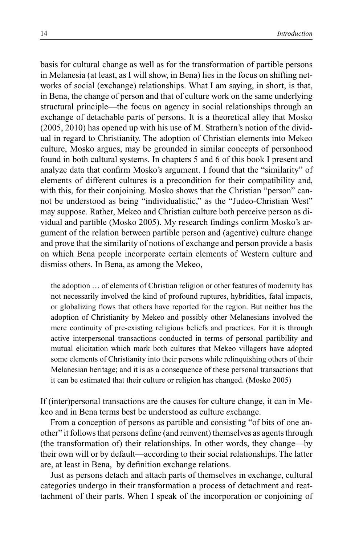basis for cultural change as well as for the transformation of partible persons in Melanesia (at least, as I will show, in Bena) lies in the focus on shifting networks of social (exchange) relationships. What I am saying, in short, is that, in Bena, the change of person and that of culture work on the same underlying structural principle—the focus on agency in social relationships through an exchange of detachable parts of persons. It is a theoretical alley that Mosko (2005, 2010) has opened up with his use of M. Strathern's notion of the dividual in regard to Christianity. The adoption of Christian elements into Mekeo culture, Mosko argues, may be grounded in similar concepts of personhood found in both cultural systems. In chapters 5 and 6 of this book I present and analyze data that confirm Mosko's argument. I found that the "similarity" of elements of different cultures is a precondition for their compatibility and, with this, for their conjoining. Mosko shows that the Christian "person" cannot be understood as being "individualistic," as the "Judeo-Christian West" may suppose. Rather, Mekeo and Christian culture both perceive person as dividual and partible (Mosko 2005). My research findings confirm Mosko's argument of the relation between partible person and (agentive) culture change and prove that the similarity of notions of exchange and person provide a basis on which Bena people incorporate certain elements of Western culture and dismiss others. In Bena, as among the Mekeo,

the adoption … of elements of Christian religion or other features of modernity has not necessarily involved the kind of profound ruptures, hybridities, fatal impacts, or globalizing flows that others have reported for the region. But neither has the adoption of Christianity by Mekeo and possibly other Melanesians involved the mere continuity of pre-existing religious beliefs and practices. For it is through active interpersonal transactions conducted in terms of personal partibility and mutual elicitation which mark both cultures that Mekeo villagers have adopted some elements of Christianity into their persons while relinquishing others of their Melanesian heritage; and it is as a consequence of these personal transactions that it can be estimated that their culture or religion has changed. (Mosko 2005)

If (inter)personal transactions are the causes for culture change, it can in Mekeo and in Bena terms best be understood as culture *ex*change.

From a conception of persons as partible and consisting "of bits of one another" it follows that persons define (and reinvent) themselves as agents through (the transformation of) their relationships. In other words, they change—by their own will or by default—according to their social relationships. The latter are, at least in Bena, by definition exchange relations.

Just as persons detach and attach parts of themselves in exchange, cultural categories undergo in their transformation a process of detachment and reattachment of their parts. When I speak of the incorporation or conjoining of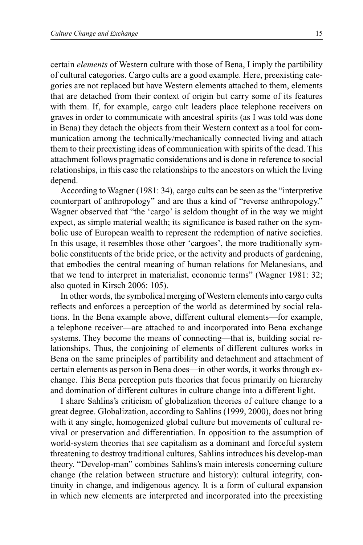certain *elements* of Western culture with those of Bena, I imply the partibility of cultural categories. Cargo cults are a good example. Here, preexisting categories are not replaced but have Western elements attached to them, elements that are detached from their context of origin but carry some of its features with them. If, for example, cargo cult leaders place telephone receivers on graves in order to communicate with ancestral spirits (as I was told was done in Bena) they detach the objects from their Western context as a tool for communication among the technically/mechanically connected living and attach them to their preexisting ideas of communication with spirits of the dead. This attachment follows pragmatic considerations and is done in reference to social relationships, in this case the relationships to the ancestors on which the living depend.

According to Wagner (1981: 34), cargo cults can be seen as the "interpretive counterpart of anthropology" and are thus a kind of "reverse anthropology." Wagner observed that "the 'cargo' is seldom thought of in the way we might expect, as simple material wealth; its significance is based rather on the symbolic use of European wealth to represent the redemption of native societies. In this usage, it resembles those other 'cargoes', the more traditionally symbolic constituents of the bride price, or the activity and products of gardening, that embodies the central meaning of human relations for Melanesians, and that we tend to interpret in materialist, economic terms" (Wagner 1981: 32; also quoted in Kirsch 2006: 105).

In other words, the symbolical merging of Western elements into cargo cults reflects and enforces a perception of the world as determined by social relations. In the Bena example above, different cultural elements—for example, a telephone receiver—are attached to and incorporated into Bena exchange systems. They become the means of connecting—that is, building social relationships. Thus, the conjoining of elements of different cultures works in Bena on the same principles of partibility and detachment and attachment of certain elements as person in Bena does—in other words, it works through exchange. This Bena perception puts theories that focus primarily on hierarchy and domination of different cultures in culture change into a different light.

I share Sahlins's criticism of globalization theories of culture change to a great degree. Globalization, according to Sahlins (1999, 2000), does not bring with it any single, homogenized global culture but movements of cultural revival or preservation and differentiation. In opposition to the assumption of world-system theories that see capitalism as a dominant and forceful system threatening to destroy traditional cultures, Sahlins introduces his develop-man theory. "Develop-man" combines Sahlins's main interests concerning culture change (the relation between structure and history): cultural integrity, continuity in change, and indigenous agency. It is a form of cultural expansion in which new elements are interpreted and incorporated into the preexisting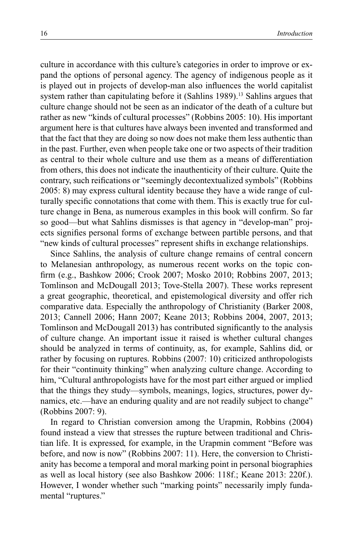culture in accordance with this culture's categories in order to improve or expand the options of personal agency. The agency of indigenous people as it is played out in projects of develop-man also influences the world capitalist system rather than capitulating before it (Sahlins 1989).<sup>13</sup> Sahlins argues that culture change should not be seen as an indicator of the death of a culture but rather as new "kinds of cultural processes" (Robbins 2005: 10). His important argument here is that cultures have always been invented and transformed and that the fact that they are doing so now does not make them less authentic than in the past. Further, even when people take one or two aspects of their tradition as central to their whole culture and use them as a means of differentiation from others, this does not indicate the inauthenticity of their culture. Quite the contrary, such reifications or "seemingly decontextualized symbols" (Robbins 2005: 8) may express cultural identity because they have a wide range of culturally specific connotations that come with them. This is exactly true for culture change in Bena, as numerous examples in this book will confirm. So far so good—but what Sahlins dismisses is that agency in "develop-man" projects signifies personal forms of exchange between partible persons, and that "new kinds of cultural processes" represent shifts in exchange relationships.

Since Sahlins, the analysis of culture change remains of central concern to Melanesian anthropology, as numerous recent works on the topic confirm (e.g., Bashkow 2006; Crook 2007; Mosko 2010; Robbins 2007, 2013; Tomlinson and McDougall 2013; Tove-Stella 2007). These works represent a great geographic, theoretical, and epistemological diversity and offer rich comparative data. Especially the anthropology of Christianity (Barker 2008, 2013; Cannell 2006; Hann 2007; Keane 2013; Robbins 2004, 2007, 2013; Tomlinson and McDougall 2013) has contributed significantly to the analysis of culture change. An important issue it raised is whether cultural changes should be analyzed in terms of continuity, as, for example, Sahlins did, or rather by focusing on ruptures. Robbins (2007: 10) criticized anthropologists for their "continuity thinking" when analyzing culture change. According to him, "Cultural anthropologists have for the most part either argued or implied that the things they study—symbols, meanings, logics, structures, power dynamics, etc.—have an enduring quality and are not readily subject to change" (Robbins 2007: 9).

In regard to Christian conversion among the Urapmin, Robbins (2004) found instead a view that stresses the rupture between traditional and Christian life. It is expressed, for example, in the Urapmin comment "Before was before, and now is now" (Robbins 2007: 11). Here, the conversion to Christianity has become a temporal and moral marking point in personal biographies as well as local history (see also Bashkow 2006: 118f.; Keane 2013: 220f.). However, I wonder whether such "marking points" necessarily imply fundamental "ruptures."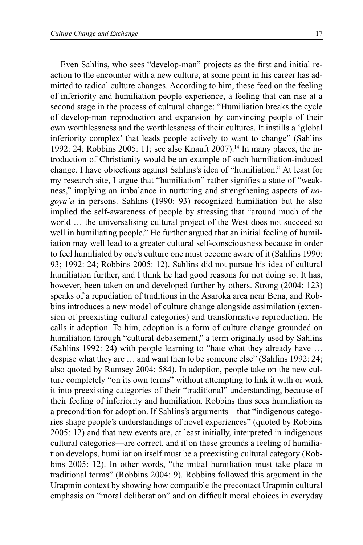Even Sahlins, who sees "develop-man" projects as the first and initial reaction to the encounter with a new culture, at some point in his career has admitted to radical culture changes. According to him, these feed on the feeling of inferiority and humiliation people experience, a feeling that can rise at a second stage in the process of cultural change: "Humiliation breaks the cycle of develop-man reproduction and expansion by convincing people of their own worthlessness and the worthlessness of their cultures. It instills a 'global inferiority complex' that leads people actively to want to change" (Sahlins 1992: 24; Robbins 2005: 11; see also Knauft 2007).14 In many places, the introduction of Christianity would be an example of such humiliation-induced change. I have objections against Sahlins's idea of "humiliation." At least for my research site, I argue that "humiliation" rather signifies a state of "weakness," implying an imbalance in nurturing and strengthening aspects of *nogoya'a* in persons. Sahlins (1990: 93) recognized humiliation but he also implied the self-awareness of people by stressing that "around much of the world … the universalising cultural project of the West does not succeed so well in humiliating people." He further argued that an initial feeling of humiliation may well lead to a greater cultural self-consciousness because in order to feel humiliated by one's culture one must become aware of it (Sahlins 1990: 93; 1992: 24; Robbins 2005: 12). Sahlins did not pursue his idea of cultural humiliation further, and I think he had good reasons for not doing so. It has, however, been taken on and developed further by others. Strong (2004: 123) speaks of a repudiation of traditions in the Asaroka area near Bena, and Robbins introduces a new model of culture change alongside assimilation (extension of preexisting cultural categories) and transformative reproduction. He calls it adoption. To him, adoption is a form of culture change grounded on humiliation through "cultural debasement," a term originally used by Sahlins (Sahlins 1992: 24) with people learning to "hate what they already have … despise what they are … and want then to be someone else" (Sahlins 1992: 24; also quoted by Rumsey 2004: 584). In adoption, people take on the new culture completely "on its own terms" without attempting to link it with or work it into preexisting categories of their "traditional" understanding, because of their feeling of inferiority and humiliation. Robbins thus sees humiliation as a precondition for adoption. If Sahlins's arguments—that "indigenous categories shape people's understandings of novel experiences" (quoted by Robbins 2005: 12) and that new events are, at least initially, interpreted in indigenous cultural categories—are correct, and if on these grounds a feeling of humiliation develops, humiliation itself must be a preexisting cultural category (Robbins 2005: 12). In other words, "the initial humiliation must take place in traditional terms" (Robbins 2004: 9). Robbins followed this argument in the Urapmin context by showing how compatible the precontact Urapmin cultural emphasis on "moral deliberation" and on difficult moral choices in everyday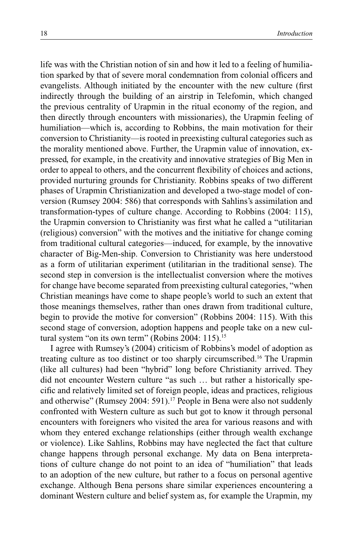life was with the Christian notion of sin and how it led to a feeling of humiliation sparked by that of severe moral condemnation from colonial officers and evangelists. Although initiated by the encounter with the new culture (first) indirectly through the building of an airstrip in Telefomin, which changed the previous centrality of Urapmin in the ritual economy of the region, and then directly through encounters with missionaries), the Urapmin feeling of humiliation—which is, according to Robbins, the main motivation for their conversion to Christianity—is rooted in preexisting cultural categories such as the morality mentioned above. Further, the Urapmin value of innovation, expressed, for example, in the creativity and innovative strategies of Big Men in order to appeal to others, and the concurrent flexibility of choices and actions, provided nurturing grounds for Christianity. Robbins speaks of two different phases of Urapmin Christianization and developed a two-stage model of conversion (Rumsey 2004: 586) that corresponds with Sahlins's assimilation and transformation-types of culture change. According to Robbins (2004: 115), the Urapmin conversion to Christianity was first what he called a "utilitarian" (religious) conversion" with the motives and the initiative for change coming from traditional cultural categories—induced, for example, by the innovative character of Big-Men-ship. Conversion to Christianity was here understood as a form of utilitarian experiment (utilitarian in the traditional sense). The second step in conversion is the intellectualist conversion where the motives for change have become separated from preexisting cultural categories, "when Christian meanings have come to shape people's world to such an extent that those meanings themselves, rather than ones drawn from traditional culture, begin to provide the motive for conversion" (Robbins 2004: 115). With this second stage of conversion, adoption happens and people take on a new cultural system "on its own term" (Robins 2004: 115).<sup>15</sup>

I agree with Rumsey's (2004) criticism of Robbins's model of adoption as treating culture as too distinct or too sharply circumscribed.16 The Urapmin (like all cultures) had been "hybrid" long before Christianity arrived. They did not encounter Western culture "as such … but rather a historically specific and relatively limited set of foreign people, ideas and practices, religious and otherwise" (Rumsey 2004: 591).<sup>17</sup> People in Bena were also not suddenly confronted with Western culture as such but got to know it through personal encounters with foreigners who visited the area for various reasons and with whom they entered exchange relationships (either through wealth exchange or violence). Like Sahlins, Robbins may have neglected the fact that culture change happens through personal exchange. My data on Bena interpretations of culture change do not point to an idea of "humiliation" that leads to an adoption of the new culture, but rather to a focus on personal agentive exchange. Although Bena persons share similar experiences encountering a dominant Western culture and belief system as, for example the Urapmin, my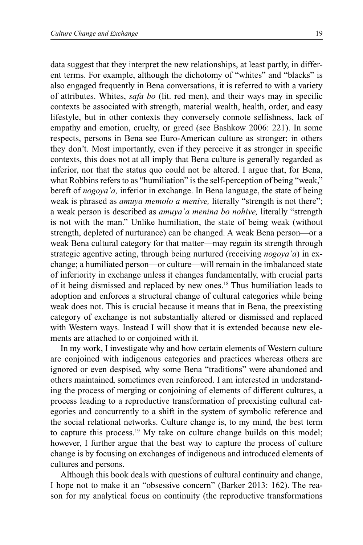data suggest that they interpret the new relationships, at least partly, in different terms. For example, although the dichotomy of "whites" and "blacks" is also engaged frequently in Bena conversations, it is referred to with a variety of attributes. Whites, *safa bo* (lit. red men), and their ways may in specific contexts be associated with strength, material wealth, health, order, and easy lifestyle, but in other contexts they conversely connote selfishness, lack of empathy and emotion, cruelty, or greed (see Bashkow 2006: 221). In some respects, persons in Bena see Euro-American culture as stronger; in others they don't. Most importantly, even if they perceive it as stronger in specific contexts, this does not at all imply that Bena culture is generally regarded as inferior, nor that the status quo could not be altered. I argue that, for Bena, what Robbins refers to as "humiliation" is the self-perception of being "weak," bereft of *nogoya'a,* inferior in exchange. In Bena language, the state of being weak is phrased as *amuya memolo a menive,* literally "strength is not there"; a weak person is described as *amuya'a menina bo nohive,* literally "strength is not with the man." Unlike humiliation, the state of being weak (without strength, depleted of nurturance) can be changed. A weak Bena person—or a weak Bena cultural category for that matter—may regain its strength through strategic agentive acting, through being nurtured (receiving *nogoya'a*) in exchange; a humiliated person—or culture—will remain in the imbalanced state of inferiority in exchange unless it changes fundamentally, with crucial parts of it being dismissed and replaced by new ones.18 Thus humiliation leads to adoption and enforces a structural change of cultural categories while being weak does not. This is crucial because it means that in Bena, the preexisting category of exchange is not substantially altered or dismissed and replaced with Western ways. Instead I will show that it is extended because new elements are attached to or conjoined with it.

In my work, I investigate why and how certain elements of Western culture are conjoined with indigenous categories and practices whereas others are ignored or even despised, why some Bena "traditions" were abandoned and others maintained, sometimes even reinforced. I am interested in understanding the process of merging or conjoining of elements of different cultures, a process leading to a reproductive transformation of preexisting cultural categories and concurrently to a shift in the system of symbolic reference and the social relational networks. Culture change is, to my mind, the best term to capture this process.<sup>19</sup> My take on culture change builds on this model; however, I further argue that the best way to capture the process of culture change is by focusing on exchanges of indigenous and introduced elements of cultures and persons.

Although this book deals with questions of cultural continuity and change, I hope not to make it an "obsessive concern" (Barker 2013: 162). The reason for my analytical focus on continuity (the reproductive transformations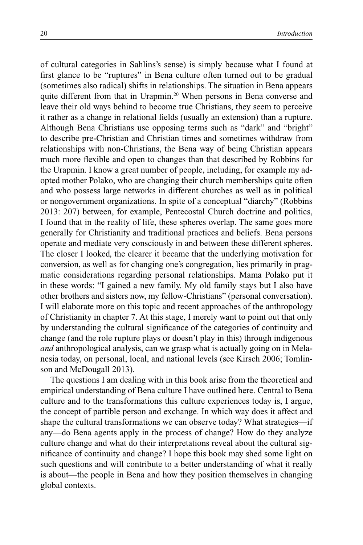of cultural categories in Sahlins's sense) is simply because what I found at first glance to be "ruptures" in Bena culture often turned out to be gradual (sometimes also radical) shifts in relationships. The situation in Bena appears quite different from that in Urapmin.20 When persons in Bena converse and leave their old ways behind to become true Christians, they seem to perceive it rather as a change in relational fields (usually an extension) than a rupture. Although Bena Christians use opposing terms such as "dark" and "bright" to describe pre-Christian and Christian times and sometimes withdraw from relationships with non-Christians, the Bena way of being Christian appears much more flexible and open to changes than that described by Robbins for the Urapmin. I know a great number of people, including, for example my adopted mother Polako, who are changing their church memberships quite often and who possess large networks in different churches as well as in political or nongovernment organizations. In spite of a conceptual "diarchy" (Robbins 2013: 207) between, for example, Pentecostal Church doctrine and politics, I found that in the reality of life, these spheres overlap. The same goes more generally for Christianity and traditional practices and beliefs. Bena persons operate and mediate very consciously in and between these different spheres. The closer I looked, the clearer it became that the underlying motivation for conversion, as well as for changing one's congregation, lies primarily in pragmatic considerations regarding personal relationships. Mama Polako put it in these words: "I gained a new family. My old family stays but I also have other brothers and sisters now, my fellow-Christians" (personal conversation). I will elaborate more on this topic and recent approaches of the anthropology of Christianity in chapter 7. At this stage, I merely want to point out that only by understanding the cultural significance of the categories of continuity and change (and the role rupture plays or doesn't play in this) through indigenous *and* anthropological analysis, can we grasp what is actually going on in Melanesia today, on personal, local, and national levels (see Kirsch 2006; Tomlinson and McDougall 2013).

The questions I am dealing with in this book arise from the theoretical and empirical understanding of Bena culture I have outlined here. Central to Bena culture and to the transformations this culture experiences today is, I argue, the concept of partible person and exchange. In which way does it affect and shape the cultural transformations we can observe today? What strategies—if any—do Bena agents apply in the process of change? How do they analyze culture change and what do their interpretations reveal about the cultural significance of continuity and change? I hope this book may shed some light on such questions and will contribute to a better understanding of what it really is about—the people in Bena and how they position themselves in changing global contexts.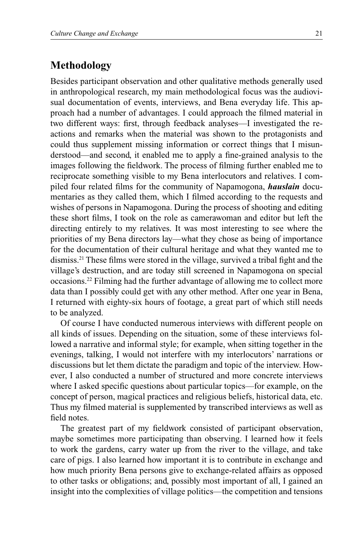### **Methodology**

Besides participant observation and other qualitative methods generally used in anthropological research, my main methodological focus was the audiovisual documentation of events, interviews, and Bena everyday life. This approach had a number of advantages. I could approach the filmed material in two different ways: first, through feedback analyses—I investigated the reactions and remarks when the material was shown to the protagonists and could thus supplement missing information or correct things that I misunderstood—and second, it enabled me to apply a fine-grained analysis to the images following the fieldwork. The process of filming further enabled me to reciprocate something visible to my Bena interlocutors and relatives. I compiled four related films for the community of Napamogona, *hauslain* documentaries as they called them, which I filmed according to the requests and wishes of persons in Napamogona. During the process of shooting and editing these short films, I took on the role as camerawoman and editor but left the directing entirely to my relatives. It was most interesting to see where the priorities of my Bena directors lay—what they chose as being of importance for the documentation of their cultural heritage and what they wanted me to dismiss.<sup>21</sup> These films were stored in the village, survived a tribal fight and the village's destruction, and are today still screened in Napamogona on special occasions.22 Filming had the further advantage of allowing me to collect more data than I possibly could get with any other method. After one year in Bena, I returned with eighty-six hours of footage, a great part of which still needs to be analyzed.

Of course I have conducted numerous interviews with different people on all kinds of issues. Depending on the situation, some of these interviews followed a narrative and informal style; for example, when sitting together in the evenings, talking, I would not interfere with my interlocutors' narrations or discussions but let them dictate the paradigm and topic of the interview. However, I also conducted a number of structured and more concrete interviews where I asked specific questions about particular topics—for example, on the concept of person, magical practices and religious beliefs, historical data, etc. Thus my filmed material is supplemented by transcribed interviews as well as field notes.

The greatest part of my fieldwork consisted of participant observation, maybe sometimes more participating than observing. I learned how it feels to work the gardens, carry water up from the river to the village, and take care of pigs. I also learned how important it is to contribute in exchange and how much priority Bena persons give to exchange-related affairs as opposed to other tasks or obligations; and, possibly most important of all, I gained an insight into the complexities of village politics—the competition and tensions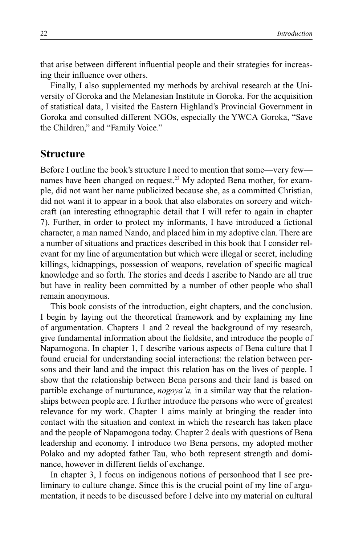that arise between different influential people and their strategies for increasing their influence over others.

Finally, I also supplemented my methods by archival research at the University of Goroka and the Melanesian Institute in Goroka. For the acquisition of statistical data, I visited the Eastern Highland's Provincial Government in Goroka and consulted different NGOs, especially the YWCA Goroka, "Save the Children," and "Family Voice."

#### **Structure**

Before I outline the book's structure I need to mention that some—very few names have been changed on request.<sup>23</sup> My adopted Bena mother, for example, did not want her name publicized because she, as a committed Christian, did not want it to appear in a book that also elaborates on sorcery and witchcraft (an interesting ethnographic detail that I will refer to again in chapter 7). Further, in order to protect my informants, I have introduced a fictional character, a man named Nando, and placed him in my adoptive clan. There are a number of situations and practices described in this book that I consider relevant for my line of argumentation but which were illegal or secret, including killings, kidnappings, possession of weapons, revelation of specific magical knowledge and so forth. The stories and deeds I ascribe to Nando are all true but have in reality been committed by a number of other people who shall remain anonymous.

This book consists of the introduction, eight chapters, and the conclusion. I begin by laying out the theoretical framework and by explaining my line of argumentation. Chapters 1 and 2 reveal the background of my research, give fundamental information about the fieldsite, and introduce the people of Napamogona. In chapter 1, I describe various aspects of Bena culture that I found crucial for understanding social interactions: the relation between persons and their land and the impact this relation has on the lives of people. I show that the relationship between Bena persons and their land is based on partible exchange of nurturance, *nogoya'a,* in a similar way that the relationships between people are. I further introduce the persons who were of greatest relevance for my work. Chapter 1 aims mainly at bringing the reader into contact with the situation and context in which the research has taken place and the people of Napamogona today. Chapter 2 deals with questions of Bena leadership and economy. I introduce two Bena persons, my adopted mother Polako and my adopted father Tau, who both represent strength and dominance, however in different fields of exchange.

In chapter 3, I focus on indigenous notions of personhood that I see preliminary to culture change. Since this is the crucial point of my line of argumentation, it needs to be discussed before I delve into my material on cultural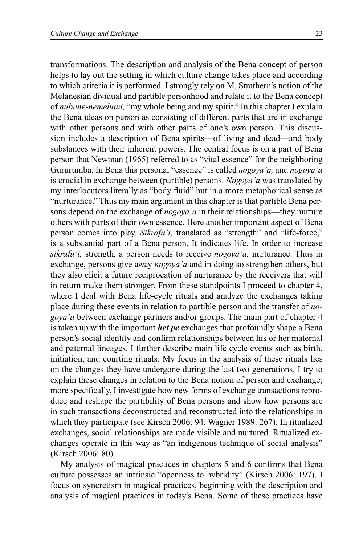transformations. The description and analysis of the Bena concept of person helps to lay out the setting in which culture change takes place and according to which criteria it is performed. I strongly rely on M. Strathern's notion of the Melanesian dividual and partible personhood and relate it to the Bena concept of *nubune-nemehani,* "my whole being and my spirit." In this chapter I explain the Bena ideas on person as consisting of different parts that are in exchange with other persons and with other parts of one's own person. This discussion includes a description of Bena spirits—of living and dead—and body substances with their inherent powers. The central focus is on a part of Bena person that Newman (1965) referred to as "vital essence" for the neighboring Gururumba. In Bena this personal "essence" is called *nogoya'a,* and *nogoya'a* is crucial in exchange between (partible) persons. *Nogoya'a* was translated by my interlocutors literally as "body fluid" but in a more metaphorical sense as "nurturance." Thus my main argument in this chapter is that partible Bena persons depend on the exchange of *nogoya'a* in their relationships—they nurture others with parts of their own essence. Here another important aspect of Bena person comes into play. *Sikrafu'i,* translated as "strength" and "life-force," is a substantial part of a Bena person. It indicates life. In order to increase *sikrafu'i,* strength, a person needs to receive *nogoya'a,* nurturance. Thus in exchange, persons give away *nogoya'a* and in doing so strengthen others, but they also elicit a future reciprocation of nurturance by the receivers that will in return make them stronger. From these standpoints I proceed to chapter 4, where I deal with Bena life-cycle rituals and analyze the exchanges taking place during these events in relation to partible person and the transfer of *nogoya'a* between exchange partners and/or groups. The main part of chapter 4 is taken up with the important *het pe* exchanges that profoundly shape a Bena person's social identity and confirm relationships between his or her maternal and paternal lineages. I further describe main life cycle events such as birth, initiation, and courting rituals. My focus in the analysis of these rituals lies on the changes they have undergone during the last two generations. I try to explain these changes in relation to the Bena notion of person and exchange; more specifically, I investigate how new forms of exchange transactions reproduce and reshape the partibility of Bena persons and show how persons are in such transactions deconstructed and reconstructed into the relationships in which they participate (see Kirsch 2006: 94; Wagner 1989: 267). In ritualized exchanges, social relationships are made visible and nurtured. Ritualized exchanges operate in this way as "an indigenous technique of social analysis" (Kirsch 2006: 80).

My analysis of magical practices in chapters 5 and 6 confirms that Bena culture possesses an intrinsic "openness to hybridity" (Kirsch 2006: 197). I focus on syncretism in magical practices, beginning with the description and analysis of magical practices in today's Bena. Some of these practices have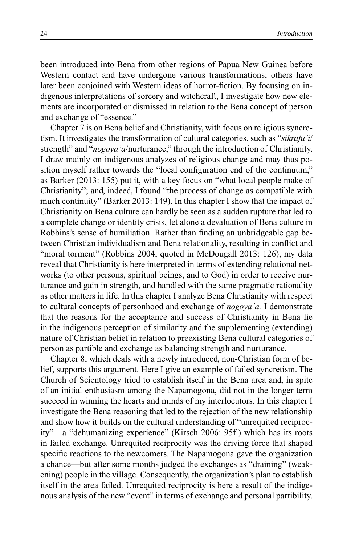been introduced into Bena from other regions of Papua New Guinea before Western contact and have undergone various transformations; others have later been conjoined with Western ideas of horror-fiction. By focusing on indigenous interpretations of sorcery and witchcraft, I investigate how new elements are incorporated or dismissed in relation to the Bena concept of person and exchange of "essence."

Chapter 7 is on Bena belief and Christianity, with focus on religious syncretism. It investigates the transformation of cultural categories, such as "*sikrafu'i*/ strength" and "*nogoya'a/nurturance*," through the introduction of Christianity. I draw mainly on indigenous analyzes of religious change and may thus position myself rather towards the "local configuration end of the continuum," as Barker (2013: 155) put it, with a key focus on "what local people make of Christianity"; and, indeed, I found "the process of change as compatible with much continuity" (Barker 2013: 149). In this chapter I show that the impact of Christianity on Bena culture can hardly be seen as a sudden rupture that led to a complete change or identity crisis, let alone a devaluation of Bena culture in Robbins's sense of humiliation. Rather than finding an unbridgeable gap between Christian individualism and Bena relationality, resulting in conflict and "moral torment" (Robbins 2004, quoted in McDougall 2013: 126), my data reveal that Christianity is here interpreted in terms of extending relational networks (to other persons, spiritual beings, and to God) in order to receive nurturance and gain in strength, and handled with the same pragmatic rationality as other matters in life. In this chapter I analyze Bena Christianity with respect to cultural concepts of personhood and exchange of *nogoya'a.* I demonstrate that the reasons for the acceptance and success of Christianity in Bena lie in the indigenous perception of similarity and the supplementing (extending) nature of Christian belief in relation to preexisting Bena cultural categories of person as partible and exchange as balancing strength and nurturance.

Chapter 8, which deals with a newly introduced, non-Christian form of belief, supports this argument. Here I give an example of failed syncretism. The Church of Scientology tried to establish itself in the Bena area and, in spite of an initial enthusiasm among the Napamogona, did not in the longer term succeed in winning the hearts and minds of my interlocutors. In this chapter I investigate the Bena reasoning that led to the rejection of the new relationship and show how it builds on the cultural understanding of "unrequited reciprocity"—a "dehumanizing experience" (Kirsch 2006: 95f.) which has its roots in failed exchange. Unrequited reciprocity was the driving force that shaped specific reactions to the newcomers. The Napamogona gave the organization a chance—but after some months judged the exchanges as "draining" (weakening) people in the village. Consequently, the organization's plan to establish itself in the area failed. Unrequited reciprocity is here a result of the indigenous analysis of the new "event" in terms of exchange and personal partibility.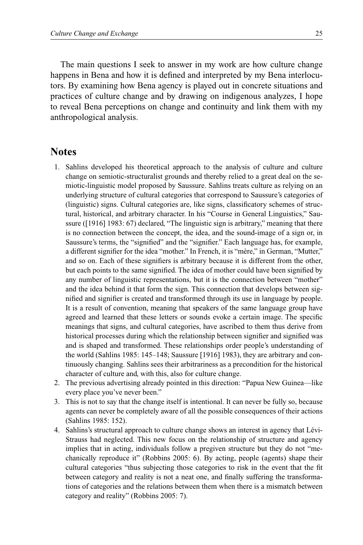The main questions I seek to answer in my work are how culture change happens in Bena and how it is defined and interpreted by my Bena interlocutors. By examining how Bena agency is played out in concrete situations and practices of culture change and by drawing on indigenous analyzes, I hope to reveal Bena perceptions on change and continuity and link them with my anthropological analysis.

#### **Notes**

- 1. Sahlins developed his theoretical approach to the analysis of culture and culture change on semiotic-structuralist grounds and thereby relied to a great deal on the semiotic-linguistic model proposed by Saussure. Sahlins treats culture as relying on an underlying structure of cultural categories that correspond to Saussure's categories of (linguistic) signs. Cultural categories are, like signs, classificatory schemes of structural, historical, and arbitrary character. In his "Course in General Linguistics," Saussure ([1916] 1983: 67) declared, "The linguistic sign is arbitrary," meaning that there is no connection between the concept, the idea, and the sound-image of a sign or, in Saussure's terms, the "signified" and the "signifier." Each language has, for example, a different signifier for the idea "mother." In French, it is "mère," in German, "Mutter," and so on. Each of these signifiers is arbitrary because it is different from the other, but each points to the same signified. The idea of mother could have been signified by any number of linguistic representations, but it is the connection between "mother" and the idea behind it that form the sign. This connection that develops between signified and signifier is created and transformed through its use in language by people. It is a result of convention, meaning that speakers of the same language group have agreed and learned that these letters or sounds evoke a certain image. The specific meanings that signs, and cultural categories, have ascribed to them thus derive from historical processes during which the relationship between signifier and signified was and is shaped and transformed. These relationships order people's understanding of the world (Sahlins 1985: 145–148; Saussure [1916] 1983), they are arbitrary and continuously changing. Sahlins sees their arbitrariness as a precondition for the historical character of culture and, with this, also for culture change.
- 2. The previous advertising already pointed in this direction: "Papua New Guinea—like every place you've never been."
- 3. This is not to say that the change itself is intentional. It can never be fully so, because agents can never be completely aware of all the possible consequences of their actions (Sahlins 1985: 152).
- 4. Sahlins's structural approach to culture change shows an interest in agency that Lévi-Strauss had neglected. This new focus on the relationship of structure and agency implies that in acting, individuals follow a pregiven structure but they do not "mechanically reproduce it" (Robbins 2005: 6). By acting, people (agents) shape their cultural categories "thus subjecting those categories to risk in the event that the fit between category and reality is not a neat one, and finally suffering the transformations of categories and the relations between them when there is a mismatch between category and reality" (Robbins 2005: 7).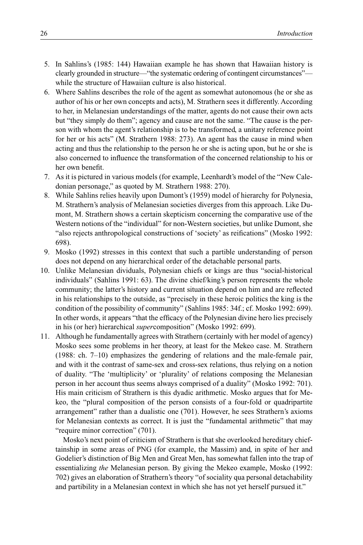- 5. In Sahlins's (1985: 144) Hawaiian example he has shown that Hawaiian history is clearly grounded in structure—"the systematic ordering of contingent circumstances" while the structure of Hawaiian culture is also historical.
- 6. Where Sahlins describes the role of the agent as somewhat autonomous (he or she as author of his or her own concepts and acts), M. Strathern sees it differently. According to her, in Melanesian understandings of the matter, agents do not cause their own acts but "they simply do them"; agency and cause are not the same. "The cause is the person with whom the agent's relationship is to be transformed, a unitary reference point for her or his acts" (M. Strathern 1988: 273). An agent has the cause in mind when acting and thus the relationship to the person he or she is acting upon, but he or she is also concerned to influence the transformation of the concerned relationship to his or her own benefit.
- 7. As it is pictured in various models (for example, Leenhardt's model of the "New Caledonian personage," as quoted by M. Strathern 1988: 270).
- 8. While Sahlins relies heavily upon Dumont's (1959) model of hierarchy for Polynesia, M. Strathern's analysis of Melanesian societies diverges from this approach. Like Dumont, M. Strathern shows a certain skepticism concerning the comparative use of the Western notions of the "individual" for non-Western societies, but unlike Dumont, she "also rejects anthropological constructions of 'society' as reifications" (Mosko 1992: 698).
- 9. Mosko (1992) stresses in this context that such a partible understanding of person does not depend on any hierarchical order of the detachable personal parts.
- 10. Unlike Melanesian dividuals, Polynesian chiefs or kings are thus "social-historical individuals" (Sahlins 1991: 63). The divine chief/king's person represents the whole community; the latter's history and current situation depend on him and are reflected in his relationships to the outside, as "precisely in these heroic politics the king is the condition of the possibility of community" (Sahlins 1985: 34f.; cf. Mosko 1992: 699). In other words, it appears "that the efficacy of the Polynesian divine hero lies precisely in his (or her) hierarchical *super*composition" (Mosko 1992: 699).
- 11. Although he fundamentally agrees with Strathern (certainly with her model of agency) Mosko sees some problems in her theory, at least for the Mekeo case. M. Strathern (1988: ch. 7–10) emphasizes the gendering of relations and the male-female pair, and with it the contrast of same-sex and cross-sex relations, thus relying on a notion of duality. "The 'multiplicity' or 'plurality' of relations composing the Melanesian person in her account thus seems always comprised of a duality" (Mosko 1992: 701). His main criticism of Strathern is this dyadic arithmetic. Mosko argues that for Mekeo, the "plural composition of the person consists of a four-fold or quadripartite arrangement" rather than a dualistic one (701). However, he sees Strathern's axioms for Melanesian contexts as correct. It is just the "fundamental arithmetic" that may "require minor correction" (701).

 Mosko's next point of criticism of Strathern is that she overlooked hereditary chieftainship in some areas of PNG (for example, the Massim) and, in spite of her and Godelier's distinction of Big Men and Great Men, has somewhat fallen into the trap of essentializing *the* Melanesian person. By giving the Mekeo example, Mosko (1992: 702) gives an elaboration of Strathern's theory "of sociality qua personal detachability and partibility in a Melanesian context in which she has not yet herself pursued it."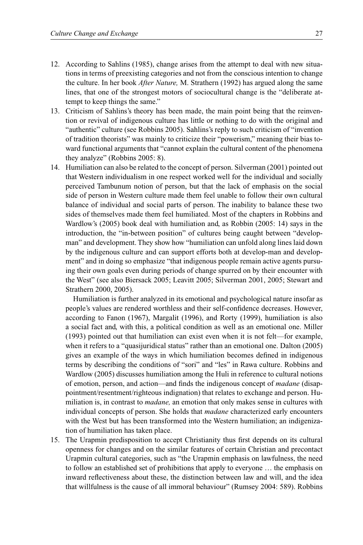- 12. According to Sahlins (1985), change arises from the attempt to deal with new situations in terms of preexisting categories and not from the conscious intention to change the culture. In her book *After Nature,* M. Strathern (1992) has argued along the same lines, that one of the strongest motors of sociocultural change is the "deliberate attempt to keep things the same."
- 13. Criticism of Sahlins's theory has been made, the main point being that the reinvention or revival of indigenous culture has little or nothing to do with the original and "authentic" culture (see Robbins 2005). Sahlins's reply to such criticism of "invention of tradition theorists" was mainly to criticize their "powerism," meaning their bias toward functional arguments that "cannot explain the cultural content of the phenomena they analyze" (Robbins 2005: 8).
- 14. Humiliation can also be related to the concept of person. Silverman (2001) pointed out that Western individualism in one respect worked well for the individual and socially perceived Tambunum notion of person, but that the lack of emphasis on the social side of person in Western culture made them feel unable to follow their own cultural balance of individual and social parts of person. The inability to balance these two sides of themselves made them feel humiliated. Most of the chapters in Robbins and Wardlow's (2005) book deal with humiliation and, as Robbin (2005: 14) says in the introduction, the "in-between position" of cultures being caught between "developman" and development. They show how "humiliation can unfold along lines laid down by the indigenous culture and can support efforts both at develop-man and development" and in doing so emphasize "that indigenous people remain active agents pursuing their own goals even during periods of change spurred on by their encounter with the West" (see also Biersack 2005; Leavitt 2005; Silverman 2001, 2005; Stewart and Strathern 2000, 2005).

 Humiliation is further analyzed in its emotional and psychological nature insofar as people's values are rendered worthless and their self-confidence decreases. However, according to Fanon (1967), Margalit (1996), and Rorty (1999), humiliation is also a social fact and, with this, a political condition as well as an emotional one. Miller (1993) pointed out that humiliation can exist even when it is not felt—for example, when it refers to a "quasijuridical status" rather than an emotional one. Dalton (2005) gives an example of the ways in which humiliation becomes defined in indigenous terms by describing the conditions of "sori" and "les" in Rawa culture. Robbins and Wardlow (2005) discusses humiliation among the Huli in reference to cultural notions of emotion, person, and action—and finds the indigenous concept of *madane* (disappointment/resentment/righteous indignation) that relates to exchange and person. Humiliation is, in contrast to *madane,* an emotion that only makes sense in cultures with individual concepts of person. She holds that *madane* characterized early encounters with the West but has been transformed into the Western humiliation; an indigenization of humiliation has taken place.

15. The Urapmin predisposition to accept Christianity thus first depends on its cultural openness for changes and on the similar features of certain Christian and precontact Urapmin cultural categories, such as "the Urapmin emphasis on lawfulness, the need to follow an established set of prohibitions that apply to everyone … the emphasis on inward reflectiveness about these, the distinction between law and will, and the idea that willfulness is the cause of all immoral behaviour" (Rumsey 2004: 589). Robbins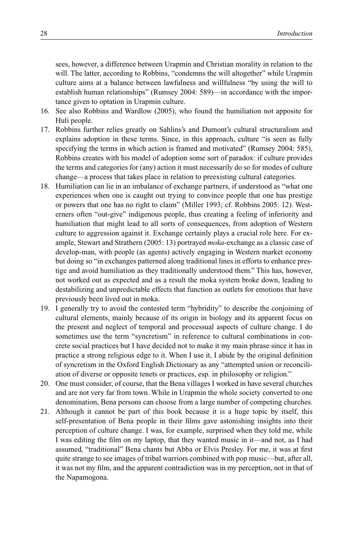sees, however, a difference between Urapmin and Christian morality in relation to the will. The latter, according to Robbins, "condemns the will altogether" while Urapmin culture aims at a balance between lawfulness and willfulness "by using the will to establish human relationships" (Rumsey 2004: 589)—in accordance with the importance given to optation in Urapmin culture.

- 16. See also Robbins and Wardlow (2005), who found the humiliation not apposite for Huli people.
- 17. Robbins further relies greatly on Sahlins's and Dumont's cultural structuralism and explains adoption in these terms. Since, in this approach, culture "is seen as fully specifying the terms in which action is framed and motivated" (Rumsey 2004: 585), Robbins creates with his model of adoption some sort of paradox: if culture provides the terms and categories for (any) action it must necessarily do so for modes of culture change—a process that takes place in relation to preexisting cultural categories.
- 18. Humiliation can lie in an imbalance of exchange partners, if understood as "what one experiences when one is caught out trying to convince people that one has prestige or powers that one has no right to claim" (Miller 1993; cf. Robbins 2005: 12). Westerners often "out-give" indigenous people, thus creating a feeling of inferiority and humiliation that might lead to all sorts of consequences, from adoption of Western culture to aggression against it. Exchange certainly plays a crucial role here. For example, Stewart and Strathern (2005: 13) portrayed *moka*-exchange as a classic case of develop-man, with people (as agents) actively engaging in Western market economy but doing so "in exchanges patterned along traditional lines in efforts to enhance prestige and avoid humiliation as they traditionally understood them." This has, however, not worked out as expected and as a result the moka system broke down, leading to destabilizing and unpredictable effects that function as outlets for emotions that have previously been lived out in moka.
- 19. I generally try to avoid the contested term "hybridity" to describe the conjoining of cultural elements, mainly because of its origin in biology and its apparent focus on the present and neglect of temporal and processual aspects of culture change. I do sometimes use the term "syncretism" in reference to cultural combinations in concrete social practices but I have decided not to make it my main phrase since it has in practice a strong religious edge to it. When I use it, I abide by the original definition of syncretism in the Oxford English Dictionary as any "attempted union or reconciliation of diverse or opposite tenets or practices, esp. in philosophy or religion."
- 20. One must consider, of course, that the Bena villages I worked in have several churches and are not very far from town. While in Urapmin the whole society converted to one denomination, Bena persons can choose from a large number of competing churches.
- 21. Although it cannot be part of this book because it is a huge topic by itself, this self-presentation of Bena people in their films gave astonishing insights into their perception of culture change. I was, for example, surprised when they told me, while I was editing the film on my laptop, that they wanted music in it—and not, as I had assumed, "traditional" Bena chants but Abba or Elvis Presley. For me, it was at first quite strange to see images of tribal warriors combined with pop music—but, after all, it was not my film, and the apparent contradiction was in my perception, not in that of the Napamogona.